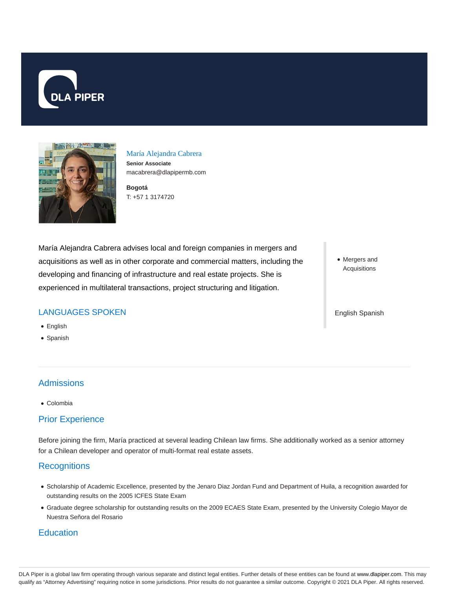



María Alejandra Cabrera **Senior Associate** macabrera@dlapipermb.com

**Bogotá** T: +57 1 3174720

María Alejandra Cabrera advises local and foreign companies in mergers and acquisitions as well as in other corporate and commercial matters, including the developing and financing of infrastructure and real estate projects. She is experienced in multilateral transactions, project structuring and litigation.

## LANGUAGES SPOKEN

- English
- Spanish

# **Admissions**

Colombia

#### Prior Experience

Before joining the firm, María practiced at several leading Chilean law firms. She additionally worked as a senior attorney for a Chilean developer and operator of multi-format real estate assets.

## **Recognitions**

- Scholarship of Academic Excellence, presented by the Jenaro Diaz Jordan Fund and Department of Huila, a recognition awarded for outstanding results on the 2005 ICFES State Exam
- Graduate degree scholarship for outstanding results on the 2009 ECAES State Exam, presented by the University Colegio Mayor de Nuestra Señora del Rosario

## **Education**

• Mergers and Acquisitions

#### English Spanish

DLA Piper is a global law firm operating through various separate and distinct legal entities. Further details of these entities can be found at www.dlapiper.com. This may qualify as "Attorney Advertising" requiring notice in some jurisdictions. Prior results do not guarantee a similar outcome. Copyright © 2021 DLA Piper. All rights reserved.